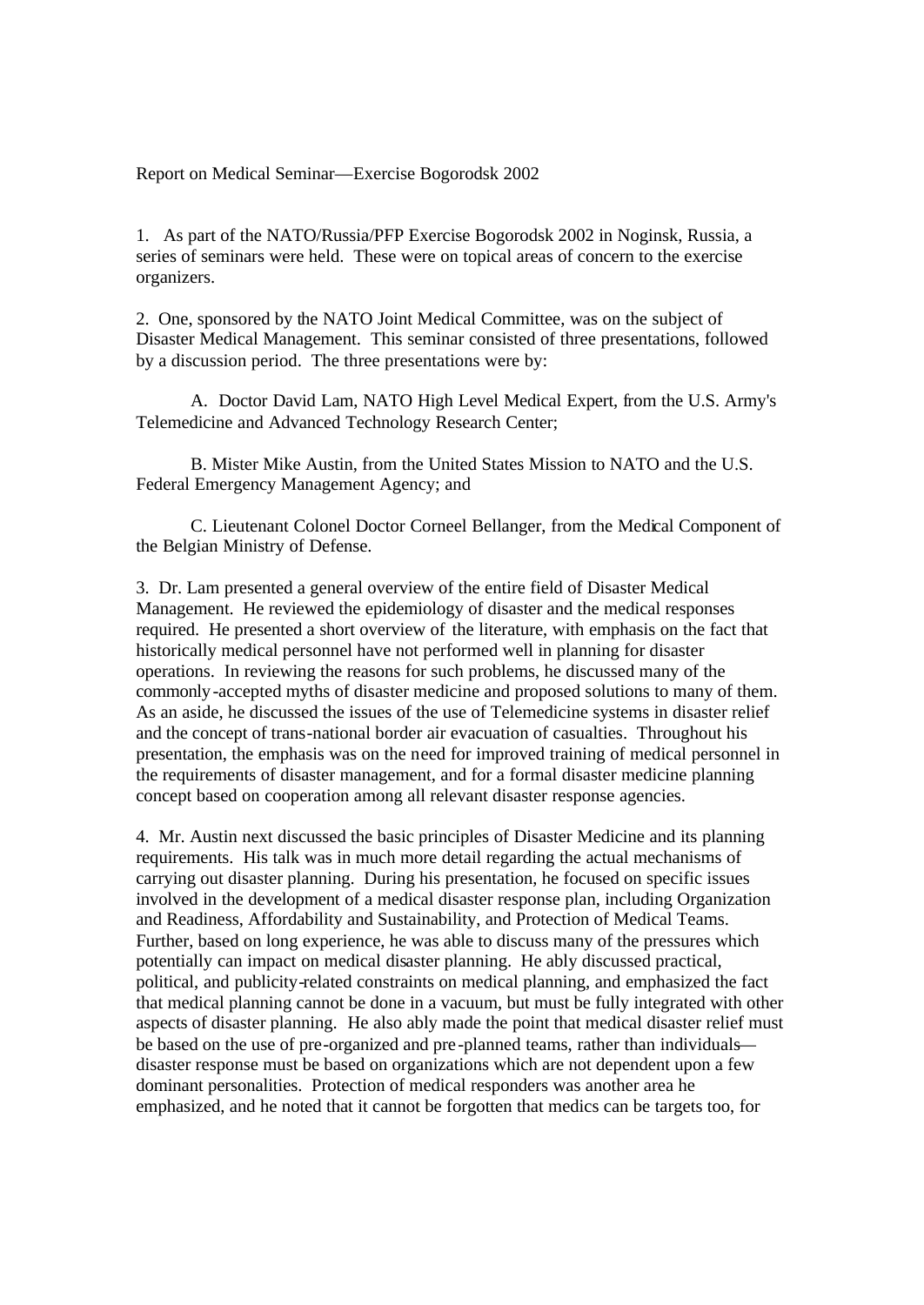Report on Medical Seminar—Exercise Bogorodsk 2002

1. As part of the NATO/Russia/PFP Exercise Bogorodsk 2002 in Noginsk, Russia, a series of seminars were held. These were on topical areas of concern to the exercise organizers.

2. One, sponsored by the NATO Joint Medical Committee, was on the subject of Disaster Medical Management. This seminar consisted of three presentations, followed by a discussion period. The three presentations were by:

A. Doctor David Lam, NATO High Level Medical Expert, from the U.S. Army's Telemedicine and Advanced Technology Research Center;

B. Mister Mike Austin, from the United States Mission to NATO and the U.S. Federal Emergency Management Agency; and

C. Lieutenant Colonel Doctor Corneel Bellanger, from the Medical Component of the Belgian Ministry of Defense.

3. Dr. Lam presented a general overview of the entire field of Disaster Medical Management. He reviewed the epidemiology of disaster and the medical responses required. He presented a short overview of the literature, with emphasis on the fact that historically medical personnel have not performed well in planning for disaster operations. In reviewing the reasons for such problems, he discussed many of the commonly-accepted myths of disaster medicine and proposed solutions to many of them. As an aside, he discussed the issues of the use of Telemedicine systems in disaster relief and the concept of trans-national border air evacuation of casualties. Throughout his presentation, the emphasis was on the need for improved training of medical personnel in the requirements of disaster management, and for a formal disaster medicine planning concept based on cooperation among all relevant disaster response agencies.

4. Mr. Austin next discussed the basic principles of Disaster Medicine and its planning requirements. His talk was in much more detail regarding the actual mechanisms of carrying out disaster planning. During his presentation, he focused on specific issues involved in the development of a medical disaster response plan, including Organization and Readiness, Affordability and Sustainability, and Protection of Medical Teams. Further, based on long experience, he was able to discuss many of the pressures which potentially can impact on medical disaster planning. He ably discussed practical, political, and publicity-related constraints on medical planning, and emphasized the fact that medical planning cannot be done in a vacuum, but must be fully integrated with other aspects of disaster planning. He also ably made the point that medical disaster relief must be based on the use of pre-organized and pre -planned teams, rather than individuals disaster response must be based on organizations which are not dependent upon a few dominant personalities. Protection of medical responders was another area he emphasized, and he noted that it cannot be forgotten that medics can be targets too, for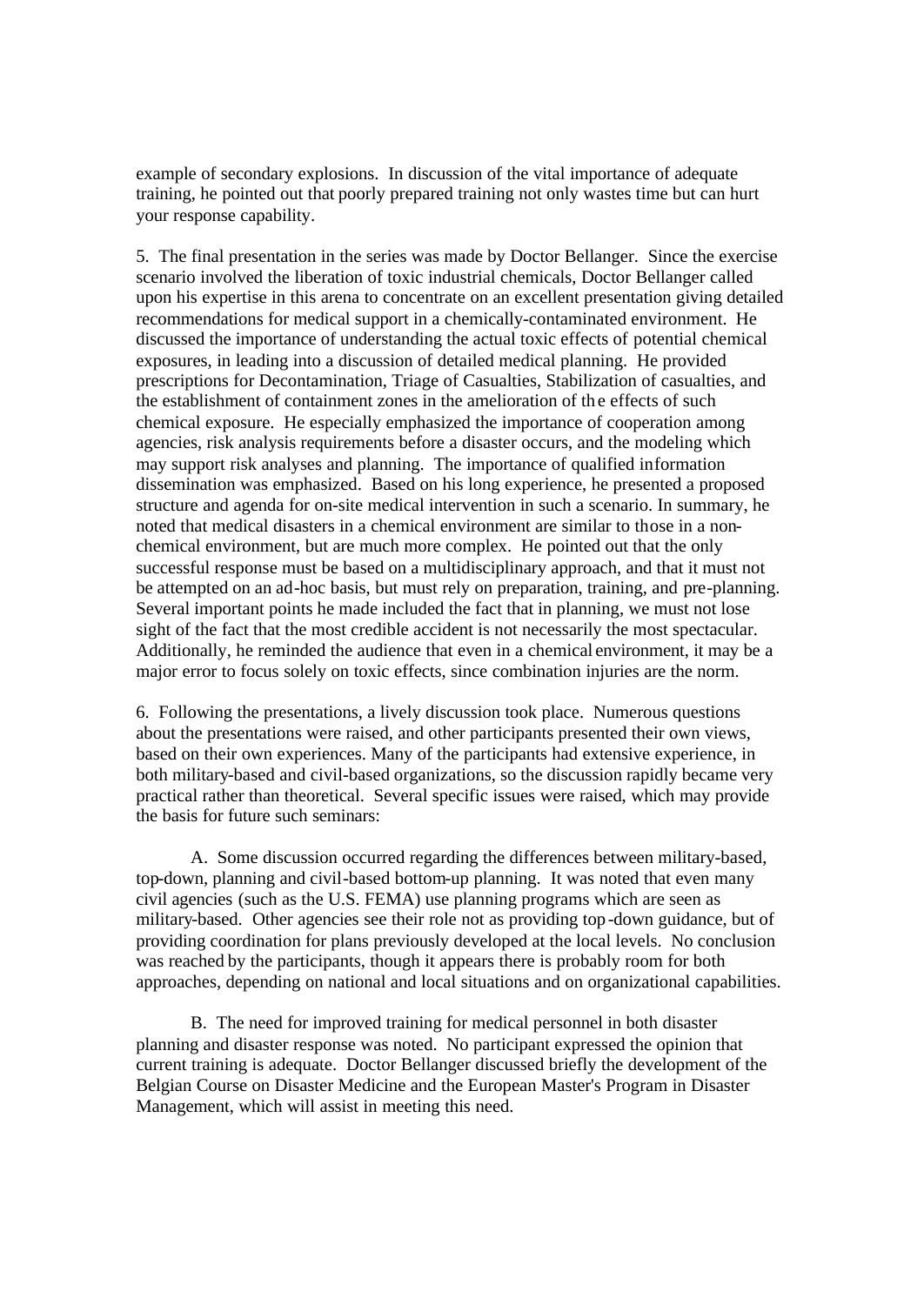example of secondary explosions. In discussion of the vital importance of adequate training, he pointed out that poorly prepared training not only wastes time but can hurt your response capability.

5. The final presentation in the series was made by Doctor Bellanger. Since the exercise scenario involved the liberation of toxic industrial chemicals, Doctor Bellanger called upon his expertise in this arena to concentrate on an excellent presentation giving detailed recommendations for medical support in a chemically-contaminated environment. He discussed the importance of understanding the actual toxic effects of potential chemical exposures, in leading into a discussion of detailed medical planning. He provided prescriptions for Decontamination, Triage of Casualties, Stabilization of casualties, and the establishment of containment zones in the amelioration of the effects of such chemical exposure. He especially emphasized the importance of cooperation among agencies, risk analysis requirements before a disaster occurs, and the modeling which may support risk analyses and planning. The importance of qualified information dissemination was emphasized. Based on his long experience, he presented a proposed structure and agenda for on-site medical intervention in such a scenario. In summary, he noted that medical disasters in a chemical environment are similar to those in a nonchemical environment, but are much more complex. He pointed out that the only successful response must be based on a multidisciplinary approach, and that it must not be attempted on an ad-hoc basis, but must rely on preparation, training, and pre-planning. Several important points he made included the fact that in planning, we must not lose sight of the fact that the most credible accident is not necessarily the most spectacular. Additionally, he reminded the audience that even in a chemical environment, it may be a major error to focus solely on toxic effects, since combination injuries are the norm.

6. Following the presentations, a lively discussion took place. Numerous questions about the presentations were raised, and other participants presented their own views, based on their own experiences. Many of the participants had extensive experience, in both military-based and civil-based organizations, so the discussion rapidly became very practical rather than theoretical. Several specific issues were raised, which may provide the basis for future such seminars:

A. Some discussion occurred regarding the differences between military-based, top-down, planning and civil-based bottom-up planning. It was noted that even many civil agencies (such as the U.S. FEMA) use planning programs which are seen as military-based. Other agencies see their role not as providing top-down guidance, but of providing coordination for plans previously developed at the local levels. No conclusion was reached by the participants, though it appears there is probably room for both approaches, depending on national and local situations and on organizational capabilities.

B. The need for improved training for medical personnel in both disaster planning and disaster response was noted. No participant expressed the opinion that current training is adequate. Doctor Bellanger discussed briefly the development of the Belgian Course on Disaster Medicine and the European Master's Program in Disaster Management, which will assist in meeting this need.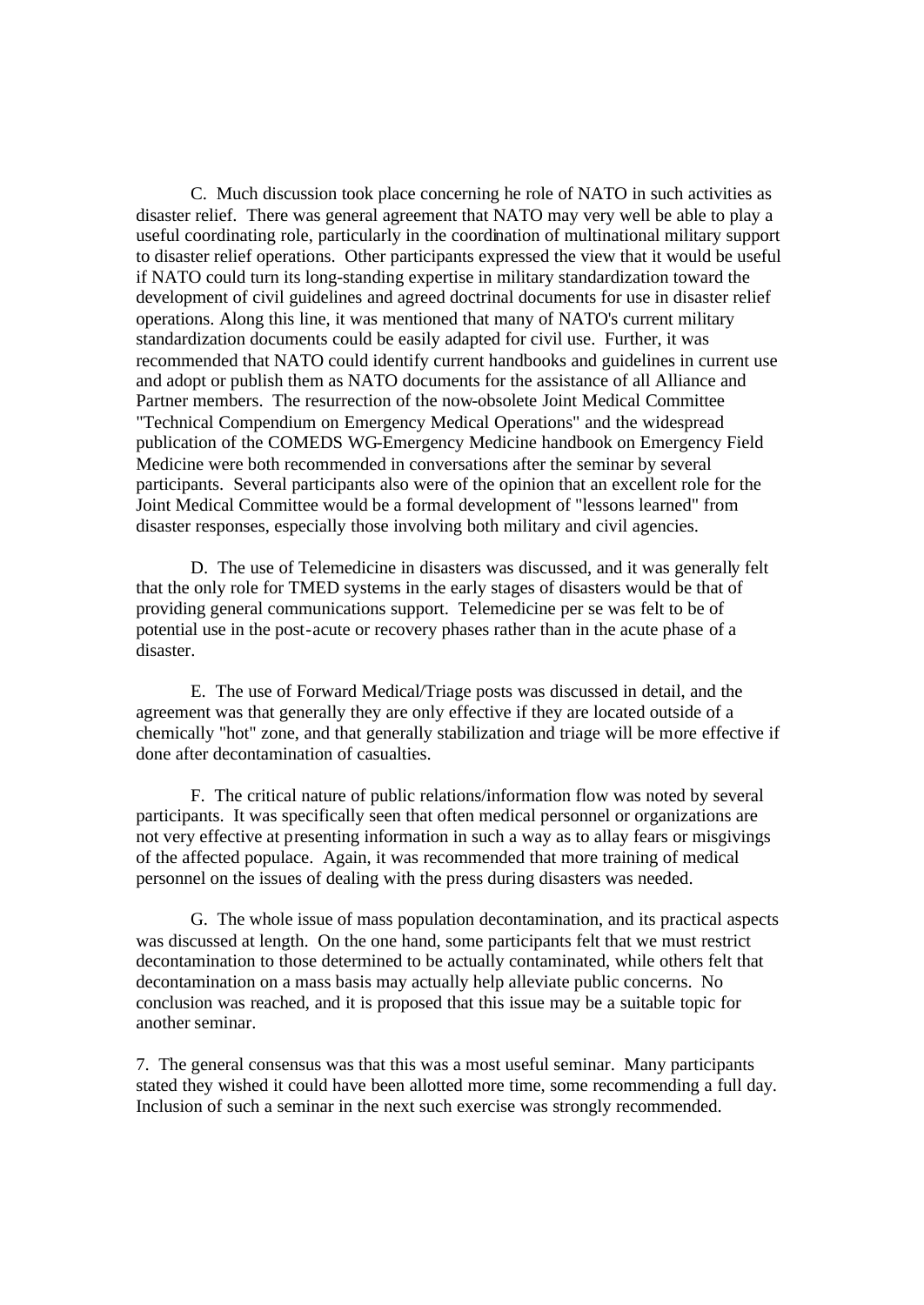C. Much discussion took place concerning he role of NATO in such activities as disaster relief. There was general agreement that NATO may very well be able to play a useful coordinating role, particularly in the coordination of multinational military support to disaster relief operations. Other participants expressed the view that it would be useful if NATO could turn its long-standing expertise in military standardization toward the development of civil guidelines and agreed doctrinal documents for use in disaster relief operations. Along this line, it was mentioned that many of NATO's current military standardization documents could be easily adapted for civil use. Further, it was recommended that NATO could identify current handbooks and guidelines in current use and adopt or publish them as NATO documents for the assistance of all Alliance and Partner members. The resurrection of the now-obsolete Joint Medical Committee "Technical Compendium on Emergency Medical Operations" and the widespread publication of the COMEDS WG-Emergency Medicine handbook on Emergency Field Medicine were both recommended in conversations after the seminar by several participants. Several participants also were of the opinion that an excellent role for the Joint Medical Committee would be a formal development of "lessons learned" from disaster responses, especially those involving both military and civil agencies.

D. The use of Telemedicine in disasters was discussed, and it was generally felt that the only role for TMED systems in the early stages of disasters would be that of providing general communications support. Telemedicine per se was felt to be of potential use in the post-acute or recovery phases rather than in the acute phase of a disaster.

E. The use of Forward Medical/Triage posts was discussed in detail, and the agreement was that generally they are only effective if they are located outside of a chemically "hot" zone, and that generally stabilization and triage will be more effective if done after decontamination of casualties.

F. The critical nature of public relations/information flow was noted by several participants. It was specifically seen that often medical personnel or organizations are not very effective at presenting information in such a way as to allay fears or misgivings of the affected populace. Again, it was recommended that more training of medical personnel on the issues of dealing with the press during disasters was needed.

G. The whole issue of mass population decontamination, and its practical aspects was discussed at length. On the one hand, some participants felt that we must restrict decontamination to those determined to be actually contaminated, while others felt that decontamination on a mass basis may actually help alleviate public concerns. No conclusion was reached, and it is proposed that this issue may be a suitable topic for another seminar.

7. The general consensus was that this was a most useful seminar. Many participants stated they wished it could have been allotted more time, some recommending a full day. Inclusion of such a seminar in the next such exercise was strongly recommended.